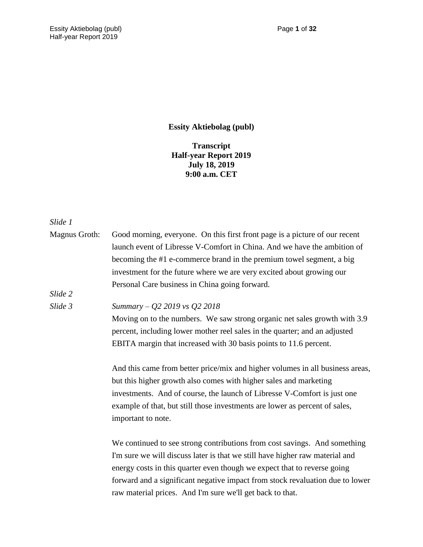**Essity Aktiebolag (publ)**

**Transcript Half-year Report 2019 July 18, 2019 9:00 a.m. CET**

## *Slide 1*

| <b>Magnus Groth:</b> | Good morning, everyone. On this first front page is a picture of our recent   |
|----------------------|-------------------------------------------------------------------------------|
|                      | launch event of Libresse V-Comfort in China. And we have the ambition of      |
|                      | becoming the #1 e-commerce brand in the premium towel segment, a big          |
|                      | investment for the future where we are very excited about growing our         |
|                      | Personal Care business in China going forward.                                |
| Slide 2              |                                                                               |
| Slide 3              | Summary – $Q2$ 2019 vs $Q2$ 2018                                              |
|                      | Moving on to the numbers. We saw strong organic net sales growth with 3.9     |
|                      | percent, including lower mother reel sales in the quarter; and an adjusted    |
|                      | EBITA margin that increased with 30 basis points to 11.6 percent.             |
|                      | And this came from better price/mix and higher volumes in all business areas, |
|                      | but this higher growth also comes with higher sales and marketing             |
|                      | investments. And of course, the launch of Libresse V-Comfort is just one      |
|                      | example of that, but still those investments are lower as percent of sales,   |
|                      | important to note.                                                            |

We continued to see strong contributions from cost savings. And something I'm sure we will discuss later is that we still have higher raw material and energy costs in this quarter even though we expect that to reverse going forward and a significant negative impact from stock revaluation due to lower raw material prices. And I'm sure we'll get back to that.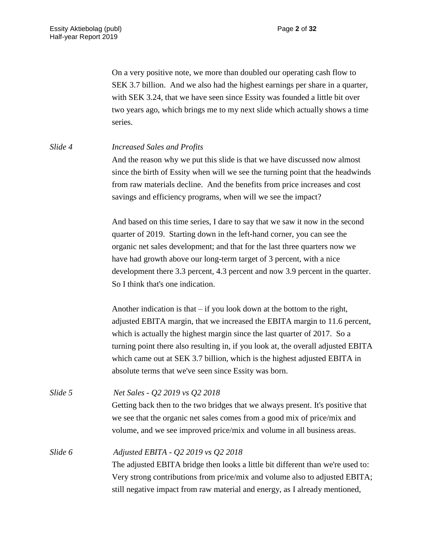On a very positive note, we more than doubled our operating cash flow to SEK 3.7 billion. And we also had the highest earnings per share in a quarter, with SEK 3.24, that we have seen since Essity was founded a little bit over two years ago, which brings me to my next slide which actually shows a time series.

*Slide 4 Increased Sales and Profits*

And the reason why we put this slide is that we have discussed now almost since the birth of Essity when will we see the turning point that the headwinds from raw materials decline. And the benefits from price increases and cost savings and efficiency programs, when will we see the impact?

And based on this time series, I dare to say that we saw it now in the second quarter of 2019. Starting down in the left-hand corner, you can see the organic net sales development; and that for the last three quarters now we have had growth above our long-term target of 3 percent, with a nice development there 3.3 percent, 4.3 percent and now 3.9 percent in the quarter. So I think that's one indication.

Another indication is that  $-$  if you look down at the bottom to the right, adjusted EBITA margin, that we increased the EBITA margin to 11.6 percent, which is actually the highest margin since the last quarter of 2017. So a turning point there also resulting in, if you look at, the overall adjusted EBITA which came out at SEK 3.7 billion, which is the highest adjusted EBITA in absolute terms that we've seen since Essity was born.

| Slide 5 | Net Sales - Q2 2019 vs Q2 2018                                                  |
|---------|---------------------------------------------------------------------------------|
|         | Getting back then to the two bridges that we always present. It's positive that |
|         | we see that the organic net sales comes from a good mix of price/mix and        |
|         | volume, and we see improved price/mix and volume in all business areas.         |
| Slide 6 | Adjusted EBITA - Q2 2019 vs Q2 2018                                             |
|         | The adjusted EBITA bridge then looks a little bit different than we're used to: |
|         | Very strong contributions from price/mix and volume also to adjusted EBITA;     |
|         | still negative impact from raw material and energy, as I already mentioned,     |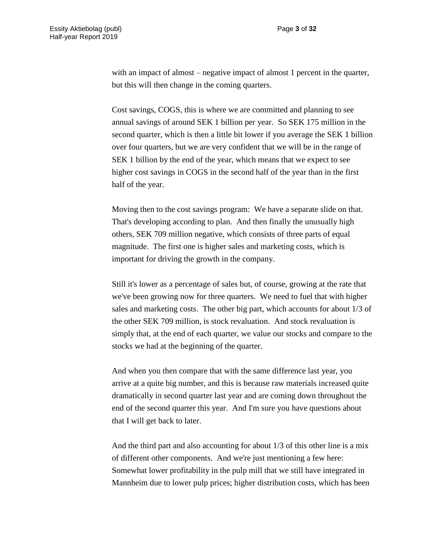with an impact of almost – negative impact of almost 1 percent in the quarter, but this will then change in the coming quarters.

Cost savings, COGS, this is where we are committed and planning to see annual savings of around SEK 1 billion per year. So SEK 175 million in the second quarter, which is then a little bit lower if you average the SEK 1 billion over four quarters, but we are very confident that we will be in the range of SEK 1 billion by the end of the year, which means that we expect to see higher cost savings in COGS in the second half of the year than in the first half of the year.

Moving then to the cost savings program: We have a separate slide on that. That's developing according to plan. And then finally the unusually high others, SEK 709 million negative, which consists of three parts of equal magnitude. The first one is higher sales and marketing costs, which is important for driving the growth in the company.

Still it's lower as a percentage of sales but, of course, growing at the rate that we've been growing now for three quarters. We need to fuel that with higher sales and marketing costs. The other big part, which accounts for about 1/3 of the other SEK 709 million, is stock revaluation. And stock revaluation is simply that, at the end of each quarter, we value our stocks and compare to the stocks we had at the beginning of the quarter.

And when you then compare that with the same difference last year, you arrive at a quite big number, and this is because raw materials increased quite dramatically in second quarter last year and are coming down throughout the end of the second quarter this year. And I'm sure you have questions about that I will get back to later.

And the third part and also accounting for about 1/3 of this other line is a mix of different other components. And we're just mentioning a few here: Somewhat lower profitability in the pulp mill that we still have integrated in Mannheim due to lower pulp prices; higher distribution costs, which has been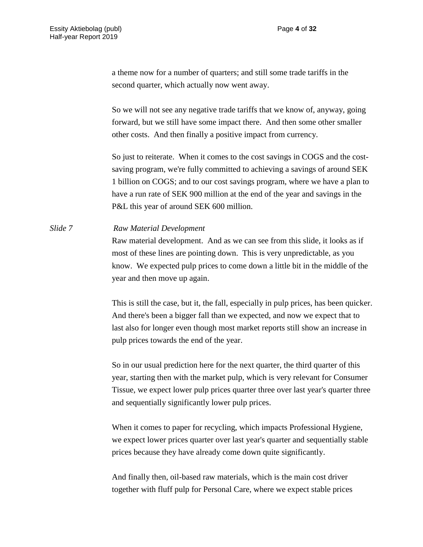a theme now for a number of quarters; and still some trade tariffs in the second quarter, which actually now went away.

So we will not see any negative trade tariffs that we know of, anyway, going forward, but we still have some impact there. And then some other smaller other costs. And then finally a positive impact from currency.

So just to reiterate. When it comes to the cost savings in COGS and the costsaving program, we're fully committed to achieving a savings of around SEK 1 billion on COGS; and to our cost savings program, where we have a plan to have a run rate of SEK 900 million at the end of the year and savings in the P&L this year of around SEK 600 million.

## *Slide 7 Raw Material Development*

Raw material development. And as we can see from this slide, it looks as if most of these lines are pointing down. This is very unpredictable, as you know. We expected pulp prices to come down a little bit in the middle of the year and then move up again.

This is still the case, but it, the fall, especially in pulp prices, has been quicker. And there's been a bigger fall than we expected, and now we expect that to last also for longer even though most market reports still show an increase in pulp prices towards the end of the year.

So in our usual prediction here for the next quarter, the third quarter of this year, starting then with the market pulp, which is very relevant for Consumer Tissue, we expect lower pulp prices quarter three over last year's quarter three and sequentially significantly lower pulp prices.

When it comes to paper for recycling, which impacts Professional Hygiene, we expect lower prices quarter over last year's quarter and sequentially stable prices because they have already come down quite significantly.

And finally then, oil-based raw materials, which is the main cost driver together with fluff pulp for Personal Care, where we expect stable prices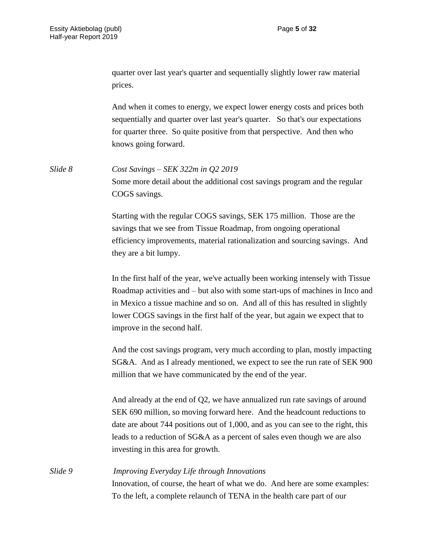quarter over last year's quarter and sequentially slightly lower raw material prices.

And when it comes to energy, we expect lower energy costs and prices both sequentially and quarter over last year's quarter. So that's our expectations for quarter three. So quite positive from that perspective. And then who knows going forward.

*Slide 8 Cost Savings – SEK 322m in Q2 2019* Some more detail about the additional cost savings program and the regular COGS savings.

> Starting with the regular COGS savings, SEK 175 million. Those are the savings that we see from Tissue Roadmap, from ongoing operational efficiency improvements, material rationalization and sourcing savings. And they are a bit lumpy.

In the first half of the year, we've actually been working intensely with Tissue Roadmap activities and – but also with some start-ups of machines in Inco and in Mexico a tissue machine and so on. And all of this has resulted in slightly lower COGS savings in the first half of the year, but again we expect that to improve in the second half.

And the cost savings program, very much according to plan, mostly impacting SG&A. And as I already mentioned, we expect to see the run rate of SEK 900 million that we have communicated by the end of the year.

And already at the end of Q2, we have annualized run rate savings of around SEK 690 million, so moving forward here. And the headcount reductions to date are about 744 positions out of 1,000, and as you can see to the right, this leads to a reduction of SG&A as a percent of sales even though we are also investing in this area for growth.

*Slide 9 Improving Everyday Life through Innovations* Innovation, of course, the heart of what we do. And here are some examples: To the left, a complete relaunch of TENA in the health care part of our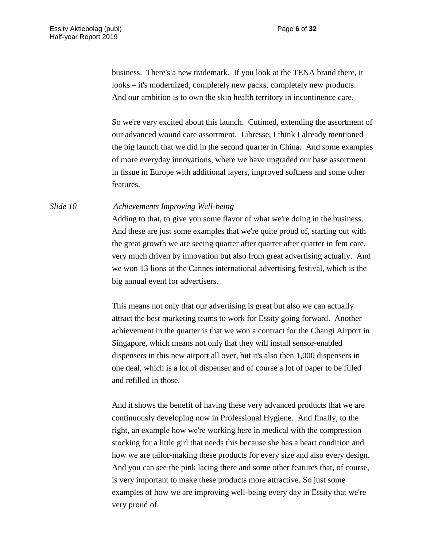business. There's a new trademark. If you look at the TENA brand there, it looks – it's modernized, completely new packs, completely new products. And our ambition is to own the skin health territory in incontinence care.

So we're very excited about this launch. Cutimed, extending the assortment of our advanced wound care assortment. Libresse, I think I already mentioned the big launch that we did in the second quarter in China. And some examples of more everyday innovations, where we have upgraded our base assortment in tissue in Europe with additional layers, improved softness and some other features.

*Slide 10 Achievements Improving Well-being*

Adding to that, to give you some flavor of what we're doing in the business. And these are just some examples that we're quite proud of, starting out with the great growth we are seeing quarter after quarter after quarter in fem care, very much driven by innovation but also from great advertising actually. And we won 13 lions at the Cannes international advertising festival, which is the big annual event for advertisers.

This means not only that our advertising is great but also we can actually attract the best marketing teams to work for Essity going forward. Another achievement in the quarter is that we won a contract for the Changi Airport in Singapore, which means not only that they will install sensor-enabled dispensers in this new airport all over, but it's also then 1,000 dispensers in one deal, which is a lot of dispenser and of course a lot of paper to be filled and refilled in those.

And it shows the benefit of having these very advanced products that we are continuously developing now in Professional Hygiene. And finally, to the right, an example how we're working here in medical with the compression stocking for a little girl that needs this because she has a heart condition and how we are tailor-making these products for every size and also every design. And you can see the pink lacing there and some other features that, of course, is very important to make these products more attractive. So just some examples of how we are improving well-being every day in Essity that we're very proud of.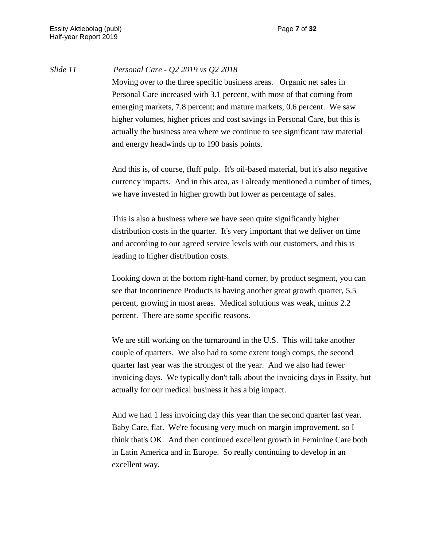## *Slide 11 Personal Care - Q2 2019 vs Q2 2018*

Moving over to the three specific business areas. Organic net sales in Personal Care increased with 3.1 percent, with most of that coming from emerging markets, 7.8 percent; and mature markets, 0.6 percent. We saw higher volumes, higher prices and cost savings in Personal Care, but this is actually the business area where we continue to see significant raw material and energy headwinds up to 190 basis points.

And this is, of course, fluff pulp. It's oil-based material, but it's also negative currency impacts. And in this area, as I already mentioned a number of times, we have invested in higher growth but lower as percentage of sales.

This is also a business where we have seen quite significantly higher distribution costs in the quarter. It's very important that we deliver on time and according to our agreed service levels with our customers, and this is leading to higher distribution costs.

Looking down at the bottom right-hand corner, by product segment, you can see that Incontinence Products is having another great growth quarter, 5.5 percent, growing in most areas. Medical solutions was weak, minus 2.2 percent. There are some specific reasons.

We are still working on the turnaround in the U.S. This will take another couple of quarters. We also had to some extent tough comps, the second quarter last year was the strongest of the year. And we also had fewer invoicing days. We typically don't talk about the invoicing days in Essity, but actually for our medical business it has a big impact.

And we had 1 less invoicing day this year than the second quarter last year. Baby Care, flat. We're focusing very much on margin improvement, so I think that's OK. And then continued excellent growth in Feminine Care both in Latin America and in Europe. So really continuing to develop in an excellent way.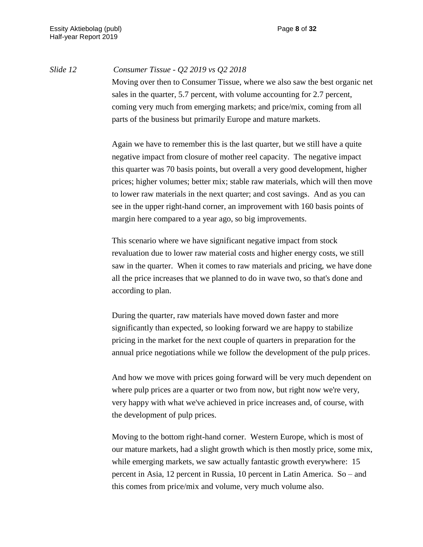*Slide 12 Consumer Tissue - Q2 2019 vs Q2 2018*

Moving over then to Consumer Tissue, where we also saw the best organic net sales in the quarter, 5.7 percent, with volume accounting for 2.7 percent, coming very much from emerging markets; and price/mix, coming from all parts of the business but primarily Europe and mature markets.

Again we have to remember this is the last quarter, but we still have a quite negative impact from closure of mother reel capacity. The negative impact this quarter was 70 basis points, but overall a very good development, higher prices; higher volumes; better mix; stable raw materials, which will then move to lower raw materials in the next quarter; and cost savings. And as you can see in the upper right-hand corner, an improvement with 160 basis points of margin here compared to a year ago, so big improvements.

This scenario where we have significant negative impact from stock revaluation due to lower raw material costs and higher energy costs, we still saw in the quarter. When it comes to raw materials and pricing, we have done all the price increases that we planned to do in wave two, so that's done and according to plan.

During the quarter, raw materials have moved down faster and more significantly than expected, so looking forward we are happy to stabilize pricing in the market for the next couple of quarters in preparation for the annual price negotiations while we follow the development of the pulp prices.

And how we move with prices going forward will be very much dependent on where pulp prices are a quarter or two from now, but right now we're very, very happy with what we've achieved in price increases and, of course, with the development of pulp prices.

Moving to the bottom right-hand corner. Western Europe, which is most of our mature markets, had a slight growth which is then mostly price, some mix, while emerging markets, we saw actually fantastic growth everywhere: 15 percent in Asia, 12 percent in Russia, 10 percent in Latin America. So – and this comes from price/mix and volume, very much volume also.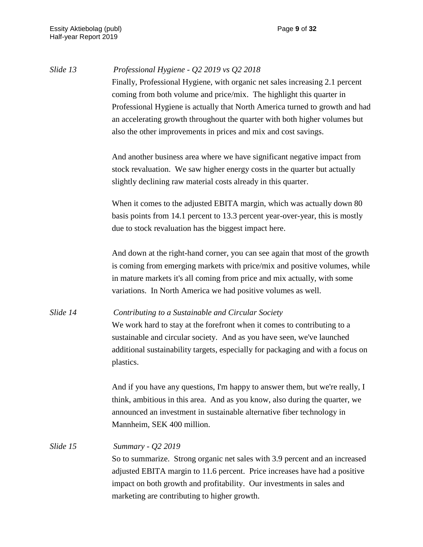| Slide 13 | Professional Hygiene - Q2 2019 vs Q2 2018<br>Finally, Professional Hygiene, with organic net sales increasing 2.1 percent<br>coming from both volume and price/mix. The highlight this quarter in<br>Professional Hygiene is actually that North America turned to growth and had<br>an accelerating growth throughout the quarter with both higher volumes but<br>also the other improvements in prices and mix and cost savings. |
|----------|------------------------------------------------------------------------------------------------------------------------------------------------------------------------------------------------------------------------------------------------------------------------------------------------------------------------------------------------------------------------------------------------------------------------------------|
|          | And another business area where we have significant negative impact from<br>stock revaluation. We saw higher energy costs in the quarter but actually<br>slightly declining raw material costs already in this quarter.                                                                                                                                                                                                            |
|          | When it comes to the adjusted EBITA margin, which was actually down 80<br>basis points from 14.1 percent to 13.3 percent year-over-year, this is mostly<br>due to stock revaluation has the biggest impact here.                                                                                                                                                                                                                   |
|          | And down at the right-hand corner, you can see again that most of the growth<br>is coming from emerging markets with price/mix and positive volumes, while<br>in mature markets it's all coming from price and mix actually, with some<br>variations. In North America we had positive volumes as well.                                                                                                                            |
| Slide 14 | Contributing to a Sustainable and Circular Society<br>We work hard to stay at the forefront when it comes to contributing to a<br>sustainable and circular society. And as you have seen, we've launched<br>additional sustainability targets, especially for packaging and with a focus on<br>plastics.                                                                                                                           |
|          | And if you have any questions, I'm happy to answer them, but we're really, I<br>think, ambitious in this area. And as you know, also during the quarter, we<br>announced an investment in sustainable alternative fiber technology in<br>Mannheim, SEK 400 million.                                                                                                                                                                |
| Slide 15 | Summary - Q2 2019<br>So to summarize. Strong organic net sales with 3.9 percent and an increased<br>adjusted EBITA margin to 11.6 percent. Price increases have had a positive<br>impact on both growth and profitability. Our investments in sales and<br>marketing are contributing to higher growth.                                                                                                                            |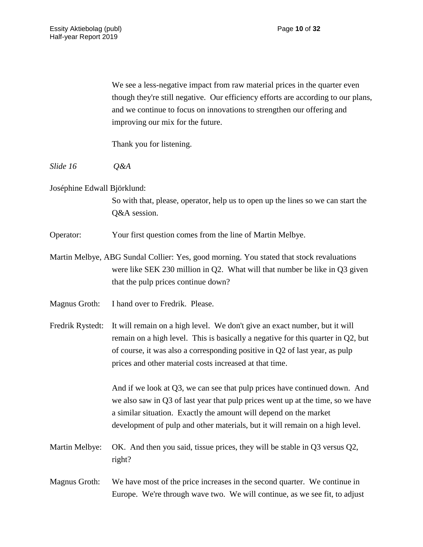We see a less-negative impact from raw material prices in the quarter even though they're still negative. Our efficiency efforts are according to our plans, and we continue to focus on innovations to strengthen our offering and improving our mix for the future.

Thank you for listening.

*Slide 16 Q&A*

Joséphine Edwall Björklund:

So with that, please, operator, help us to open up the lines so we can start the Q&A session.

Operator: Your first question comes from the line of Martin Melbye.

Martin Melbye, ABG Sundal Collier: Yes, good morning. You stated that stock revaluations were like SEK 230 million in Q2. What will that number be like in Q3 given that the pulp prices continue down?

Magnus Groth: I hand over to Fredrik. Please.

Fredrik Rystedt: It will remain on a high level. We don't give an exact number, but it will remain on a high level. This is basically a negative for this quarter in Q2, but of course, it was also a corresponding positive in Q2 of last year, as pulp prices and other material costs increased at that time.

> And if we look at Q3, we can see that pulp prices have continued down. And we also saw in Q3 of last year that pulp prices went up at the time, so we have a similar situation. Exactly the amount will depend on the market development of pulp and other materials, but it will remain on a high level.

Martin Melbye: OK. And then you said, tissue prices, they will be stable in Q3 versus Q2, right?

Magnus Groth: We have most of the price increases in the second quarter. We continue in Europe. We're through wave two. We will continue, as we see fit, to adjust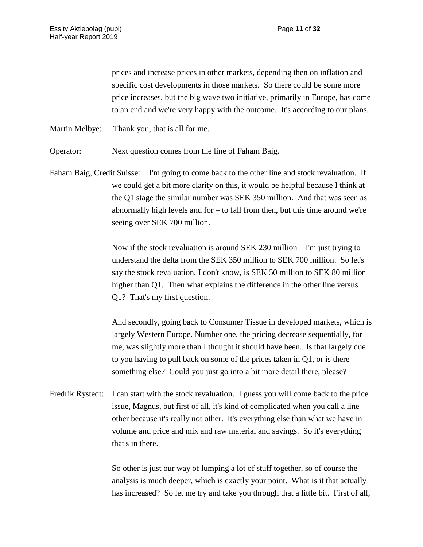prices and increase prices in other markets, depending then on inflation and specific cost developments in those markets. So there could be some more price increases, but the big wave two initiative, primarily in Europe, has come to an end and we're very happy with the outcome. It's according to our plans.

Martin Melbye: Thank you, that is all for me.

Operator: Next question comes from the line of Faham Baig.

Faham Baig, Credit Suisse: I'm going to come back to the other line and stock revaluation. If we could get a bit more clarity on this, it would be helpful because I think at the Q1 stage the similar number was SEK 350 million. And that was seen as abnormally high levels and for – to fall from then, but this time around we're seeing over SEK 700 million.

> Now if the stock revaluation is around SEK 230 million – I'm just trying to understand the delta from the SEK 350 million to SEK 700 million. So let's say the stock revaluation, I don't know, is SEK 50 million to SEK 80 million higher than Q1. Then what explains the difference in the other line versus Q1? That's my first question.

And secondly, going back to Consumer Tissue in developed markets, which is largely Western Europe. Number one, the pricing decrease sequentially, for me, was slightly more than I thought it should have been. Is that largely due to you having to pull back on some of the prices taken in Q1, or is there something else? Could you just go into a bit more detail there, please?

Fredrik Rystedt: I can start with the stock revaluation. I guess you will come back to the price issue, Magnus, but first of all, it's kind of complicated when you call a line other because it's really not other. It's everything else than what we have in volume and price and mix and raw material and savings. So it's everything that's in there.

> So other is just our way of lumping a lot of stuff together, so of course the analysis is much deeper, which is exactly your point. What is it that actually has increased? So let me try and take you through that a little bit. First of all,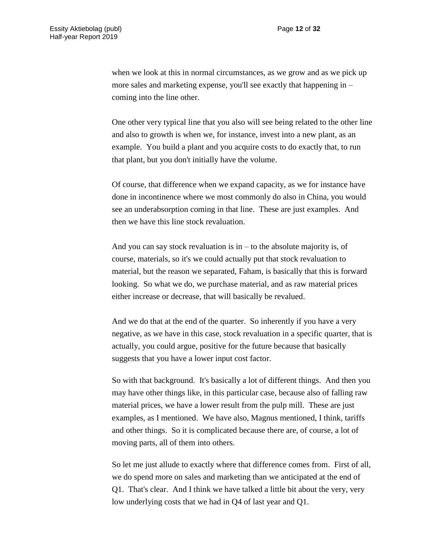when we look at this in normal circumstances, as we grow and as we pick up more sales and marketing expense, you'll see exactly that happening in – coming into the line other.

One other very typical line that you also will see being related to the other line and also to growth is when we, for instance, invest into a new plant, as an example. You build a plant and you acquire costs to do exactly that, to run that plant, but you don't initially have the volume.

Of course, that difference when we expand capacity, as we for instance have done in incontinence where we most commonly do also in China, you would see an underabsorption coming in that line. These are just examples. And then we have this line stock revaluation.

And you can say stock revaluation is in  $-$  to the absolute majority is, of course, materials, so it's we could actually put that stock revaluation to material, but the reason we separated, Faham, is basically that this is forward looking. So what we do, we purchase material, and as raw material prices either increase or decrease, that will basically be revalued.

And we do that at the end of the quarter. So inherently if you have a very negative, as we have in this case, stock revaluation in a specific quarter, that is actually, you could argue, positive for the future because that basically suggests that you have a lower input cost factor.

So with that background. It's basically a lot of different things. And then you may have other things like, in this particular case, because also of falling raw material prices, we have a lower result from the pulp mill. These are just examples, as I mentioned. We have also, Magnus mentioned, I think, tariffs and other things. So it is complicated because there are, of course, a lot of moving parts, all of them into others.

So let me just allude to exactly where that difference comes from. First of all, we do spend more on sales and marketing than we anticipated at the end of Q1. That's clear. And I think we have talked a little bit about the very, very low underlying costs that we had in Q4 of last year and Q1.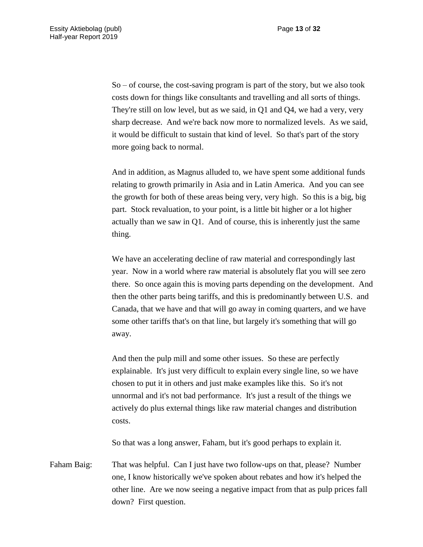So – of course, the cost-saving program is part of the story, but we also took costs down for things like consultants and travelling and all sorts of things. They're still on low level, but as we said, in Q1 and Q4, we had a very, very sharp decrease. And we're back now more to normalized levels. As we said, it would be difficult to sustain that kind of level. So that's part of the story more going back to normal.

And in addition, as Magnus alluded to, we have spent some additional funds relating to growth primarily in Asia and in Latin America. And you can see the growth for both of these areas being very, very high. So this is a big, big part. Stock revaluation, to your point, is a little bit higher or a lot higher actually than we saw in Q1. And of course, this is inherently just the same thing.

We have an accelerating decline of raw material and correspondingly last year. Now in a world where raw material is absolutely flat you will see zero there. So once again this is moving parts depending on the development. And then the other parts being tariffs, and this is predominantly between U.S. and Canada, that we have and that will go away in coming quarters, and we have some other tariffs that's on that line, but largely it's something that will go away.

And then the pulp mill and some other issues. So these are perfectly explainable. It's just very difficult to explain every single line, so we have chosen to put it in others and just make examples like this. So it's not unnormal and it's not bad performance. It's just a result of the things we actively do plus external things like raw material changes and distribution costs.

So that was a long answer, Faham, but it's good perhaps to explain it.

Faham Baig: That was helpful. Can I just have two follow-ups on that, please? Number one, I know historically we've spoken about rebates and how it's helped the other line. Are we now seeing a negative impact from that as pulp prices fall down? First question.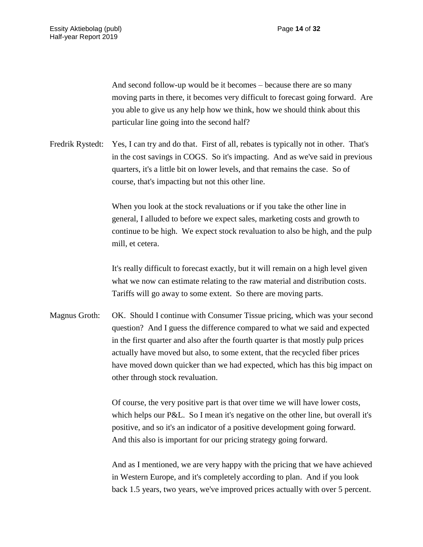And second follow-up would be it becomes – because there are so many moving parts in there, it becomes very difficult to forecast going forward. Are you able to give us any help how we think, how we should think about this particular line going into the second half?

Fredrik Rystedt: Yes, I can try and do that. First of all, rebates is typically not in other. That's in the cost savings in COGS. So it's impacting. And as we've said in previous quarters, it's a little bit on lower levels, and that remains the case. So of course, that's impacting but not this other line.

> When you look at the stock revaluations or if you take the other line in general, I alluded to before we expect sales, marketing costs and growth to continue to be high. We expect stock revaluation to also be high, and the pulp mill, et cetera.

It's really difficult to forecast exactly, but it will remain on a high level given what we now can estimate relating to the raw material and distribution costs. Tariffs will go away to some extent. So there are moving parts.

Magnus Groth: OK. Should I continue with Consumer Tissue pricing, which was your second question? And I guess the difference compared to what we said and expected in the first quarter and also after the fourth quarter is that mostly pulp prices actually have moved but also, to some extent, that the recycled fiber prices have moved down quicker than we had expected, which has this big impact on other through stock revaluation.

> Of course, the very positive part is that over time we will have lower costs, which helps our P&L. So I mean it's negative on the other line, but overall it's positive, and so it's an indicator of a positive development going forward. And this also is important for our pricing strategy going forward.

> And as I mentioned, we are very happy with the pricing that we have achieved in Western Europe, and it's completely according to plan. And if you look back 1.5 years, two years, we've improved prices actually with over 5 percent.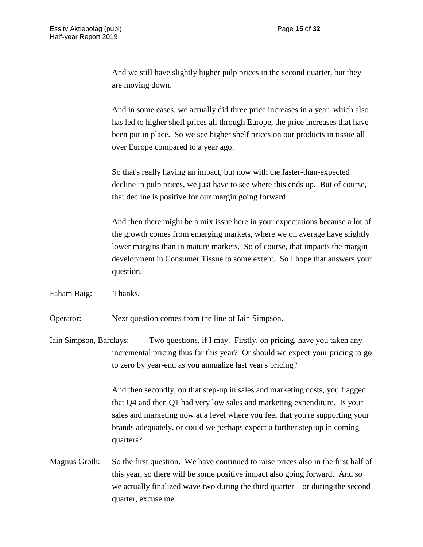And we still have slightly higher pulp prices in the second quarter, but they are moving down.

And in some cases, we actually did three price increases in a year, which also has led to higher shelf prices all through Europe, the price increases that have been put in place. So we see higher shelf prices on our products in tissue all over Europe compared to a year ago.

So that's really having an impact, but now with the faster-than-expected decline in pulp prices, we just have to see where this ends up. But of course, that decline is positive for our margin going forward.

And then there might be a mix issue here in your expectations because a lot of the growth comes from emerging markets, where we on average have slightly lower margins than in mature markets. So of course, that impacts the margin development in Consumer Tissue to some extent. So I hope that answers your question.

Faham Baig: Thanks.

Operator: Next question comes from the line of Iain Simpson.

Iain Simpson, Barclays: Two questions, if I may. Firstly, on pricing, have you taken any incremental pricing thus far this year? Or should we expect your pricing to go to zero by year-end as you annualize last year's pricing?

> And then secondly, on that step-up in sales and marketing costs, you flagged that Q4 and then Q1 had very low sales and marketing expenditure. Is your sales and marketing now at a level where you feel that you're supporting your brands adequately, or could we perhaps expect a further step-up in coming quarters?

Magnus Groth: So the first question. We have continued to raise prices also in the first half of this year, so there will be some positive impact also going forward. And so we actually finalized wave two during the third quarter – or during the second quarter, excuse me.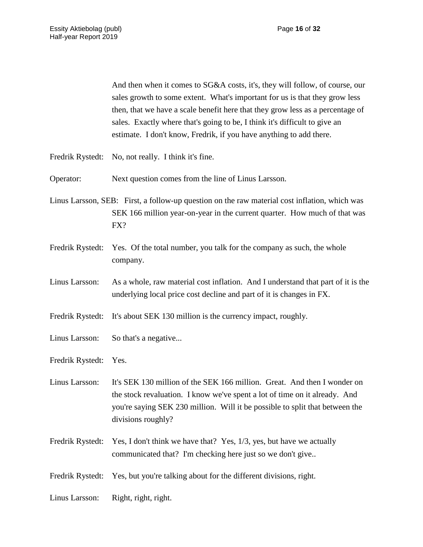And then when it comes to SG&A costs, it's, they will follow, of course, our sales growth to some extent. What's important for us is that they grow less then, that we have a scale benefit here that they grow less as a percentage of sales. Exactly where that's going to be, I think it's difficult to give an estimate. I don't know, Fredrik, if you have anything to add there.

Fredrik Rystedt: No, not really. I think it's fine.

Operator: Next question comes from the line of Linus Larsson.

Linus Larsson, SEB: First, a follow-up question on the raw material cost inflation, which was SEK 166 million year-on-year in the current quarter. How much of that was FX?

- Fredrik Rystedt: Yes. Of the total number, you talk for the company as such, the whole company.
- Linus Larsson: As a whole, raw material cost inflation. And I understand that part of it is the underlying local price cost decline and part of it is changes in FX.

Fredrik Rystedt: It's about SEK 130 million is the currency impact, roughly.

Linus Larsson: So that's a negative...

Fredrik Rystedt: Yes.

Linus Larsson: It's SEK 130 million of the SEK 166 million. Great. And then I wonder on the stock revaluation. I know we've spent a lot of time on it already. And you're saying SEK 230 million. Will it be possible to split that between the divisions roughly?

Fredrik Rystedt: Yes, I don't think we have that? Yes, 1/3, yes, but have we actually communicated that? I'm checking here just so we don't give..

Fredrik Rystedt: Yes, but you're talking about for the different divisions, right.

Linus Larsson: Right, right, right.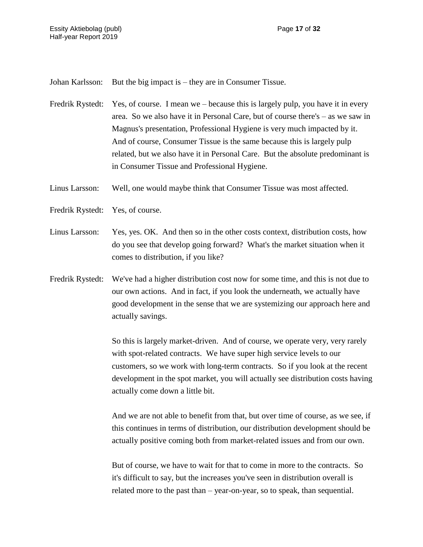Johan Karlsson: But the big impact is – they are in Consumer Tissue.

Fredrik Rystedt: Yes, of course. I mean we – because this is largely pulp, you have it in every area. So we also have it in Personal Care, but of course there's – as we saw in Magnus's presentation, Professional Hygiene is very much impacted by it. And of course, Consumer Tissue is the same because this is largely pulp related, but we also have it in Personal Care. But the absolute predominant is in Consumer Tissue and Professional Hygiene.

Linus Larsson: Well, one would maybe think that Consumer Tissue was most affected.

- Fredrik Rystedt: Yes, of course.
- Linus Larsson: Yes, yes. OK. And then so in the other costs context, distribution costs, how do you see that develop going forward? What's the market situation when it comes to distribution, if you like?
- Fredrik Rystedt: We've had a higher distribution cost now for some time, and this is not due to our own actions. And in fact, if you look the underneath, we actually have good development in the sense that we are systemizing our approach here and actually savings.

So this is largely market-driven. And of course, we operate very, very rarely with spot-related contracts. We have super high service levels to our customers, so we work with long-term contracts. So if you look at the recent development in the spot market, you will actually see distribution costs having actually come down a little bit.

And we are not able to benefit from that, but over time of course, as we see, if this continues in terms of distribution, our distribution development should be actually positive coming both from market-related issues and from our own.

But of course, we have to wait for that to come in more to the contracts. So it's difficult to say, but the increases you've seen in distribution overall is related more to the past than – year-on-year, so to speak, than sequential.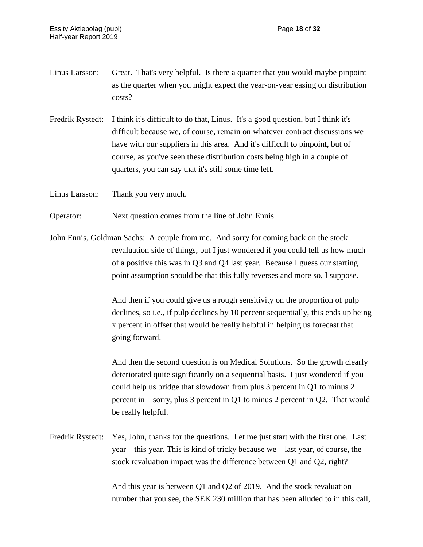- Linus Larsson: Great. That's very helpful. Is there a quarter that you would maybe pinpoint as the quarter when you might expect the year-on-year easing on distribution costs?
- Fredrik Rystedt: I think it's difficult to do that, Linus. It's a good question, but I think it's difficult because we, of course, remain on whatever contract discussions we have with our suppliers in this area. And it's difficult to pinpoint, but of course, as you've seen these distribution costs being high in a couple of quarters, you can say that it's still some time left.

Linus Larsson: Thank you very much.

- Operator: Next question comes from the line of John Ennis.
- John Ennis, Goldman Sachs: A couple from me. And sorry for coming back on the stock revaluation side of things, but I just wondered if you could tell us how much of a positive this was in Q3 and Q4 last year. Because I guess our starting point assumption should be that this fully reverses and more so, I suppose.

And then if you could give us a rough sensitivity on the proportion of pulp declines, so i.e., if pulp declines by 10 percent sequentially, this ends up being x percent in offset that would be really helpful in helping us forecast that going forward.

And then the second question is on Medical Solutions. So the growth clearly deteriorated quite significantly on a sequential basis. I just wondered if you could help us bridge that slowdown from plus 3 percent in Q1 to minus 2 percent in – sorry, plus 3 percent in Q1 to minus 2 percent in Q2. That would be really helpful.

Fredrik Rystedt: Yes, John, thanks for the questions. Let me just start with the first one. Last year – this year. This is kind of tricky because we – last year, of course, the stock revaluation impact was the difference between Q1 and Q2, right?

> And this year is between Q1 and Q2 of 2019. And the stock revaluation number that you see, the SEK 230 million that has been alluded to in this call,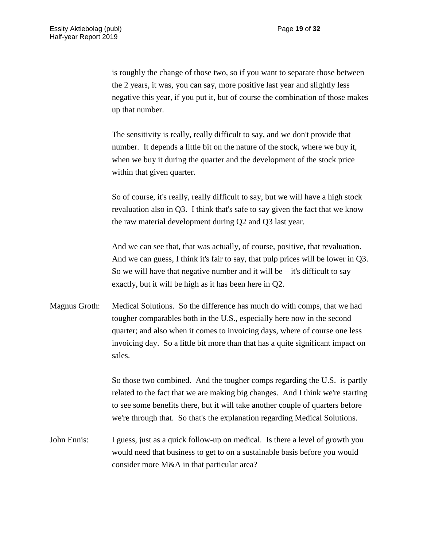is roughly the change of those two, so if you want to separate those between the 2 years, it was, you can say, more positive last year and slightly less negative this year, if you put it, but of course the combination of those makes up that number.

The sensitivity is really, really difficult to say, and we don't provide that number. It depends a little bit on the nature of the stock, where we buy it, when we buy it during the quarter and the development of the stock price within that given quarter.

So of course, it's really, really difficult to say, but we will have a high stock revaluation also in Q3. I think that's safe to say given the fact that we know the raw material development during Q2 and Q3 last year.

And we can see that, that was actually, of course, positive, that revaluation. And we can guess, I think it's fair to say, that pulp prices will be lower in Q3. So we will have that negative number and it will be  $-$  it's difficult to say exactly, but it will be high as it has been here in Q2.

Magnus Groth: Medical Solutions. So the difference has much do with comps, that we had tougher comparables both in the U.S., especially here now in the second quarter; and also when it comes to invoicing days, where of course one less invoicing day. So a little bit more than that has a quite significant impact on sales.

> So those two combined. And the tougher comps regarding the U.S. is partly related to the fact that we are making big changes. And I think we're starting to see some benefits there, but it will take another couple of quarters before we're through that. So that's the explanation regarding Medical Solutions.

John Ennis: I guess, just as a quick follow-up on medical. Is there a level of growth you would need that business to get to on a sustainable basis before you would consider more M&A in that particular area?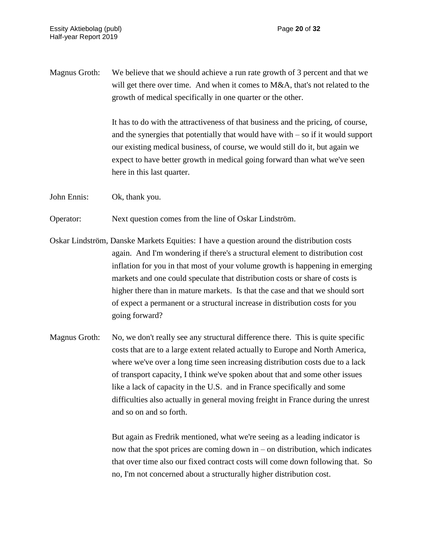Magnus Groth: We believe that we should achieve a run rate growth of 3 percent and that we will get there over time. And when it comes to M&A, that's not related to the growth of medical specifically in one quarter or the other.

> It has to do with the attractiveness of that business and the pricing, of course, and the synergies that potentially that would have with  $-$  so if it would support our existing medical business, of course, we would still do it, but again we expect to have better growth in medical going forward than what we've seen here in this last quarter.

John Ennis: Ok, thank you.

Operator: Next question comes from the line of Oskar Lindström.

- Oskar Lindström, Danske Markets Equities: I have a question around the distribution costs again. And I'm wondering if there's a structural element to distribution cost inflation for you in that most of your volume growth is happening in emerging markets and one could speculate that distribution costs or share of costs is higher there than in mature markets. Is that the case and that we should sort of expect a permanent or a structural increase in distribution costs for you going forward?
- Magnus Groth: No, we don't really see any structural difference there. This is quite specific costs that are to a large extent related actually to Europe and North America, where we've over a long time seen increasing distribution costs due to a lack of transport capacity, I think we've spoken about that and some other issues like a lack of capacity in the U.S. and in France specifically and some difficulties also actually in general moving freight in France during the unrest and so on and so forth.

But again as Fredrik mentioned, what we're seeing as a leading indicator is now that the spot prices are coming down in – on distribution, which indicates that over time also our fixed contract costs will come down following that. So no, I'm not concerned about a structurally higher distribution cost.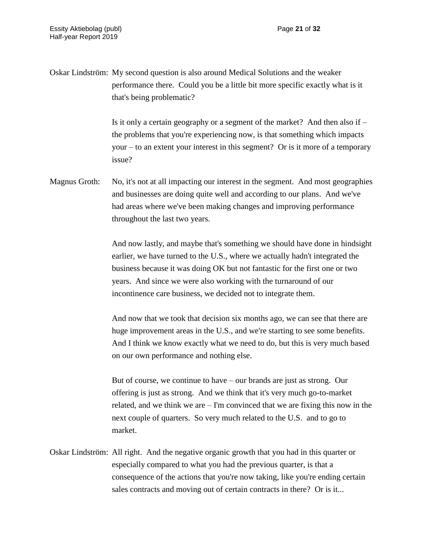Oskar Lindström: My second question is also around Medical Solutions and the weaker performance there. Could you be a little bit more specific exactly what is it that's being problematic?

> Is it only a certain geography or a segment of the market? And then also if – the problems that you're experiencing now, is that something which impacts your – to an extent your interest in this segment? Or is it more of a temporary issue?

Magnus Groth: No, it's not at all impacting our interest in the segment. And most geographies and businesses are doing quite well and according to our plans. And we've had areas where we've been making changes and improving performance throughout the last two years.

> And now lastly, and maybe that's something we should have done in hindsight earlier, we have turned to the U.S., where we actually hadn't integrated the business because it was doing OK but not fantastic for the first one or two years. And since we were also working with the turnaround of our incontinence care business, we decided not to integrate them.

> And now that we took that decision six months ago, we can see that there are huge improvement areas in the U.S., and we're starting to see some benefits. And I think we know exactly what we need to do, but this is very much based on our own performance and nothing else.

> But of course, we continue to have – our brands are just as strong. Our offering is just as strong. And we think that it's very much go-to-market related, and we think we are – I'm convinced that we are fixing this now in the next couple of quarters. So very much related to the U.S. and to go to market.

Oskar Lindström: All right. And the negative organic growth that you had in this quarter or especially compared to what you had the previous quarter, is that a consequence of the actions that you're now taking, like you're ending certain sales contracts and moving out of certain contracts in there? Or is it...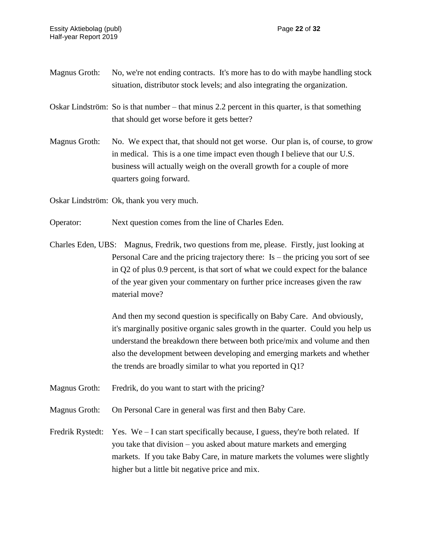- Magnus Groth: No, we're not ending contracts. It's more has to do with maybe handling stock situation, distributor stock levels; and also integrating the organization.
- Oskar Lindström: So is that number that minus 2.2 percent in this quarter, is that something that should get worse before it gets better?
- Magnus Groth: No. We expect that, that should not get worse. Our plan is, of course, to grow in medical. This is a one time impact even though I believe that our U.S. business will actually weigh on the overall growth for a couple of more quarters going forward.

Oskar Lindström: Ok, thank you very much.

- Operator: Next question comes from the line of Charles Eden.
- Charles Eden, UBS: Magnus, Fredrik, two questions from me, please. Firstly, just looking at Personal Care and the pricing trajectory there: Is – the pricing you sort of see in Q2 of plus 0.9 percent, is that sort of what we could expect for the balance of the year given your commentary on further price increases given the raw material move?

And then my second question is specifically on Baby Care. And obviously, it's marginally positive organic sales growth in the quarter. Could you help us understand the breakdown there between both price/mix and volume and then also the development between developing and emerging markets and whether the trends are broadly similar to what you reported in Q1?

- Magnus Groth: Fredrik, do you want to start with the pricing?
- Magnus Groth: On Personal Care in general was first and then Baby Care.
- Fredrik Rystedt: Yes. We I can start specifically because, I guess, they're both related. If you take that division – you asked about mature markets and emerging markets. If you take Baby Care, in mature markets the volumes were slightly higher but a little bit negative price and mix.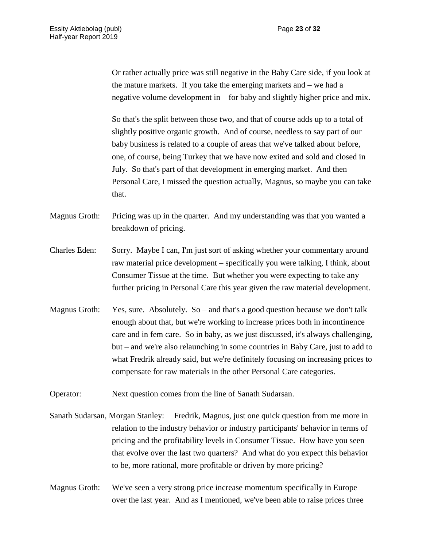Or rather actually price was still negative in the Baby Care side, if you look at the mature markets. If you take the emerging markets and – we had a negative volume development in – for baby and slightly higher price and mix.

So that's the split between those two, and that of course adds up to a total of slightly positive organic growth. And of course, needless to say part of our baby business is related to a couple of areas that we've talked about before, one, of course, being Turkey that we have now exited and sold and closed in July. So that's part of that development in emerging market. And then Personal Care, I missed the question actually, Magnus, so maybe you can take that.

Magnus Groth: Pricing was up in the quarter. And my understanding was that you wanted a breakdown of pricing.

- Charles Eden: Sorry. Maybe I can, I'm just sort of asking whether your commentary around raw material price development – specifically you were talking, I think, about Consumer Tissue at the time. But whether you were expecting to take any further pricing in Personal Care this year given the raw material development.
- Magnus Groth: Yes, sure. Absolutely. So and that's a good question because we don't talk enough about that, but we're working to increase prices both in incontinence care and in fem care. So in baby, as we just discussed, it's always challenging, but – and we're also relaunching in some countries in Baby Care, just to add to what Fredrik already said, but we're definitely focusing on increasing prices to compensate for raw materials in the other Personal Care categories.

Operator: Next question comes from the line of Sanath Sudarsan.

Sanath Sudarsan, Morgan Stanley: Fredrik, Magnus, just one quick question from me more in relation to the industry behavior or industry participants' behavior in terms of pricing and the profitability levels in Consumer Tissue. How have you seen that evolve over the last two quarters? And what do you expect this behavior to be, more rational, more profitable or driven by more pricing?

Magnus Groth: We've seen a very strong price increase momentum specifically in Europe over the last year. And as I mentioned, we've been able to raise prices three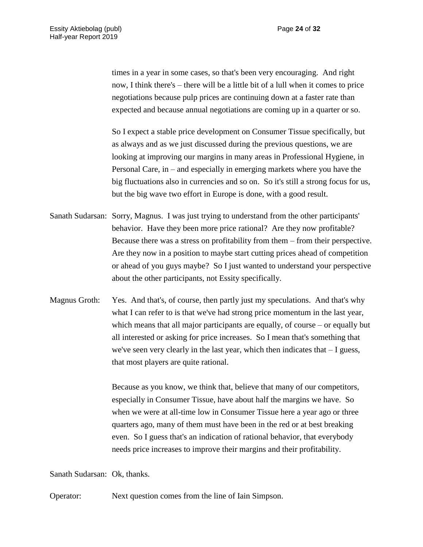times in a year in some cases, so that's been very encouraging. And right now, I think there's – there will be a little bit of a lull when it comes to price negotiations because pulp prices are continuing down at a faster rate than expected and because annual negotiations are coming up in a quarter or so.

So I expect a stable price development on Consumer Tissue specifically, but as always and as we just discussed during the previous questions, we are looking at improving our margins in many areas in Professional Hygiene, in Personal Care, in – and especially in emerging markets where you have the big fluctuations also in currencies and so on. So it's still a strong focus for us, but the big wave two effort in Europe is done, with a good result.

- Sanath Sudarsan: Sorry, Magnus. I was just trying to understand from the other participants' behavior. Have they been more price rational? Are they now profitable? Because there was a stress on profitability from them – from their perspective. Are they now in a position to maybe start cutting prices ahead of competition or ahead of you guys maybe? So I just wanted to understand your perspective about the other participants, not Essity specifically.
- Magnus Groth: Yes. And that's, of course, then partly just my speculations. And that's why what I can refer to is that we've had strong price momentum in the last year, which means that all major participants are equally, of course – or equally but all interested or asking for price increases. So I mean that's something that we've seen very clearly in the last year, which then indicates that – I guess, that most players are quite rational.

Because as you know, we think that, believe that many of our competitors, especially in Consumer Tissue, have about half the margins we have. So when we were at all-time low in Consumer Tissue here a year ago or three quarters ago, many of them must have been in the red or at best breaking even. So I guess that's an indication of rational behavior, that everybody needs price increases to improve their margins and their profitability.

Sanath Sudarsan: Ok, thanks.

Operator: Next question comes from the line of Iain Simpson.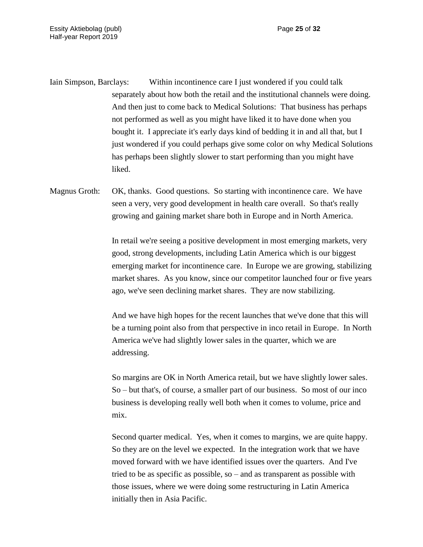Iain Simpson, Barclays: Within incontinence care I just wondered if you could talk separately about how both the retail and the institutional channels were doing. And then just to come back to Medical Solutions: That business has perhaps not performed as well as you might have liked it to have done when you bought it. I appreciate it's early days kind of bedding it in and all that, but I just wondered if you could perhaps give some color on why Medical Solutions has perhaps been slightly slower to start performing than you might have liked.

Magnus Groth: OK, thanks. Good questions. So starting with incontinence care. We have seen a very, very good development in health care overall. So that's really growing and gaining market share both in Europe and in North America.

> In retail we're seeing a positive development in most emerging markets, very good, strong developments, including Latin America which is our biggest emerging market for incontinence care. In Europe we are growing, stabilizing market shares. As you know, since our competitor launched four or five years ago, we've seen declining market shares. They are now stabilizing.

> And we have high hopes for the recent launches that we've done that this will be a turning point also from that perspective in inco retail in Europe. In North America we've had slightly lower sales in the quarter, which we are addressing.

So margins are OK in North America retail, but we have slightly lower sales. So – but that's, of course, a smaller part of our business. So most of our inco business is developing really well both when it comes to volume, price and mix.

Second quarter medical. Yes, when it comes to margins, we are quite happy. So they are on the level we expected. In the integration work that we have moved forward with we have identified issues over the quarters. And I've tried to be as specific as possible, so – and as transparent as possible with those issues, where we were doing some restructuring in Latin America initially then in Asia Pacific.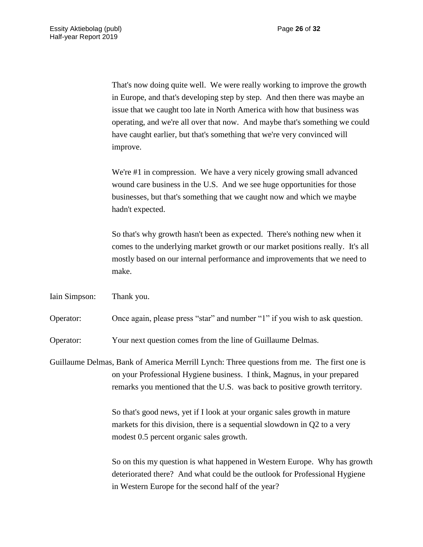That's now doing quite well. We were really working to improve the growth in Europe, and that's developing step by step. And then there was maybe an issue that we caught too late in North America with how that business was operating, and we're all over that now. And maybe that's something we could have caught earlier, but that's something that we're very convinced will improve.

We're #1 in compression. We have a very nicely growing small advanced wound care business in the U.S. And we see huge opportunities for those businesses, but that's something that we caught now and which we maybe hadn't expected.

So that's why growth hasn't been as expected. There's nothing new when it comes to the underlying market growth or our market positions really. It's all mostly based on our internal performance and improvements that we need to make.

Iain Simpson: Thank you.

Operator: Once again, please press "star" and number "1" if you wish to ask question.

Operator: Your next question comes from the line of Guillaume Delmas.

Guillaume Delmas, Bank of America Merrill Lynch: Three questions from me. The first one is on your Professional Hygiene business. I think, Magnus, in your prepared remarks you mentioned that the U.S. was back to positive growth territory.

> So that's good news, yet if I look at your organic sales growth in mature markets for this division, there is a sequential slowdown in Q2 to a very modest 0.5 percent organic sales growth.

So on this my question is what happened in Western Europe. Why has growth deteriorated there? And what could be the outlook for Professional Hygiene in Western Europe for the second half of the year?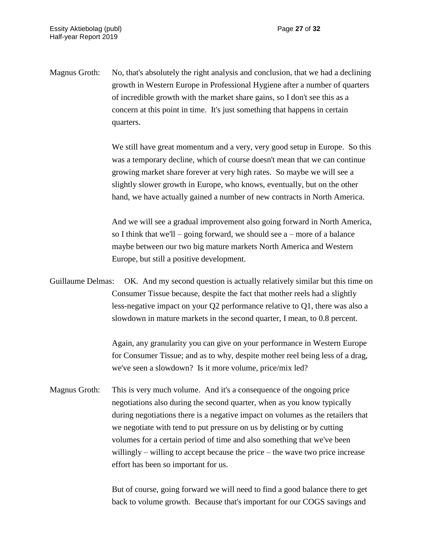Magnus Groth: No, that's absolutely the right analysis and conclusion, that we had a declining growth in Western Europe in Professional Hygiene after a number of quarters of incredible growth with the market share gains, so I don't see this as a concern at this point in time. It's just something that happens in certain quarters.

> We still have great momentum and a very, very good setup in Europe. So this was a temporary decline, which of course doesn't mean that we can continue growing market share forever at very high rates. So maybe we will see a slightly slower growth in Europe, who knows, eventually, but on the other hand, we have actually gained a number of new contracts in North America.

> And we will see a gradual improvement also going forward in North America, so I think that we'll – going forward, we should see  $a$  – more of a balance maybe between our two big mature markets North America and Western Europe, but still a positive development.

Guillaume Delmas: OK. And my second question is actually relatively similar but this time on Consumer Tissue because, despite the fact that mother reels had a slightly less-negative impact on your Q2 performance relative to Q1, there was also a slowdown in mature markets in the second quarter, I mean, to 0.8 percent.

> Again, any granularity you can give on your performance in Western Europe for Consumer Tissue; and as to why, despite mother reel being less of a drag, we've seen a slowdown? Is it more volume, price/mix led?

Magnus Groth: This is very much volume. And it's a consequence of the ongoing price negotiations also during the second quarter, when as you know typically during negotiations there is a negative impact on volumes as the retailers that we negotiate with tend to put pressure on us by delisting or by cutting volumes for a certain period of time and also something that we've been willingly – willing to accept because the price – the wave two price increase effort has been so important for us.

> But of course, going forward we will need to find a good balance there to get back to volume growth. Because that's important for our COGS savings and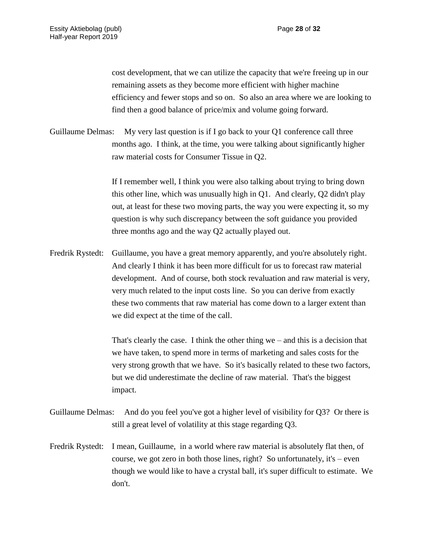cost development, that we can utilize the capacity that we're freeing up in our remaining assets as they become more efficient with higher machine efficiency and fewer stops and so on. So also an area where we are looking to find then a good balance of price/mix and volume going forward.

Guillaume Delmas: My very last question is if I go back to your Q1 conference call three months ago. I think, at the time, you were talking about significantly higher raw material costs for Consumer Tissue in Q2.

> If I remember well, I think you were also talking about trying to bring down this other line, which was unusually high in Q1. And clearly, Q2 didn't play out, at least for these two moving parts, the way you were expecting it, so my question is why such discrepancy between the soft guidance you provided three months ago and the way Q2 actually played out.

Fredrik Rystedt: Guillaume, you have a great memory apparently, and you're absolutely right. And clearly I think it has been more difficult for us to forecast raw material development. And of course, both stock revaluation and raw material is very, very much related to the input costs line. So you can derive from exactly these two comments that raw material has come down to a larger extent than we did expect at the time of the call.

> That's clearly the case. I think the other thing we – and this is a decision that we have taken, to spend more in terms of marketing and sales costs for the very strong growth that we have. So it's basically related to these two factors, but we did underestimate the decline of raw material. That's the biggest impact.

- Guillaume Delmas: And do you feel you've got a higher level of visibility for Q3? Or there is still a great level of volatility at this stage regarding Q3.
- Fredrik Rystedt: I mean, Guillaume, in a world where raw material is absolutely flat then, of course, we got zero in both those lines, right? So unfortunately, it's – even though we would like to have a crystal ball, it's super difficult to estimate. We don't.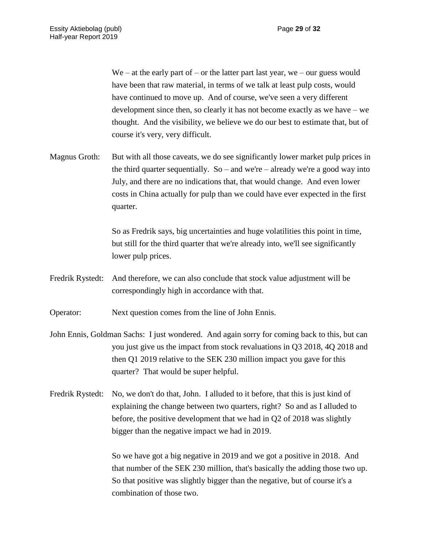$We – at the early part of – or the latter part last year, we – our guess would$ have been that raw material, in terms of we talk at least pulp costs, would have continued to move up. And of course, we've seen a very different development since then, so clearly it has not become exactly as we have – we thought. And the visibility, we believe we do our best to estimate that, but of course it's very, very difficult.

Magnus Groth: But with all those caveats, we do see significantly lower market pulp prices in the third quarter sequentially. So – and we're – already we're a good way into July, and there are no indications that, that would change. And even lower costs in China actually for pulp than we could have ever expected in the first quarter.

> So as Fredrik says, big uncertainties and huge volatilities this point in time, but still for the third quarter that we're already into, we'll see significantly lower pulp prices.

Fredrik Rystedt: And therefore, we can also conclude that stock value adjustment will be correspondingly high in accordance with that.

Operator: Next question comes from the line of John Ennis.

- John Ennis, Goldman Sachs: I just wondered. And again sorry for coming back to this, but can you just give us the impact from stock revaluations in Q3 2018, 4Q 2018 and then Q1 2019 relative to the SEK 230 million impact you gave for this quarter? That would be super helpful.
- Fredrik Rystedt: No, we don't do that, John. I alluded to it before, that this is just kind of explaining the change between two quarters, right? So and as I alluded to before, the positive development that we had in Q2 of 2018 was slightly bigger than the negative impact we had in 2019.

So we have got a big negative in 2019 and we got a positive in 2018. And that number of the SEK 230 million, that's basically the adding those two up. So that positive was slightly bigger than the negative, but of course it's a combination of those two.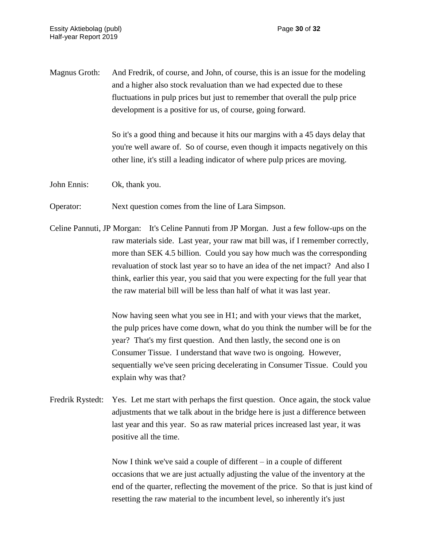Magnus Groth: And Fredrik, of course, and John, of course, this is an issue for the modeling and a higher also stock revaluation than we had expected due to these fluctuations in pulp prices but just to remember that overall the pulp price development is a positive for us, of course, going forward.

> So it's a good thing and because it hits our margins with a 45 days delay that you're well aware of. So of course, even though it impacts negatively on this other line, it's still a leading indicator of where pulp prices are moving.

John Ennis: Ok, thank you.

Operator: Next question comes from the line of Lara Simpson.

Celine Pannuti, JP Morgan: It's Celine Pannuti from JP Morgan. Just a few follow-ups on the raw materials side. Last year, your raw mat bill was, if I remember correctly, more than SEK 4.5 billion. Could you say how much was the corresponding revaluation of stock last year so to have an idea of the net impact? And also I think, earlier this year, you said that you were expecting for the full year that the raw material bill will be less than half of what it was last year.

> Now having seen what you see in H1; and with your views that the market, the pulp prices have come down, what do you think the number will be for the year? That's my first question. And then lastly, the second one is on Consumer Tissue. I understand that wave two is ongoing. However, sequentially we've seen pricing decelerating in Consumer Tissue. Could you explain why was that?

Fredrik Rystedt: Yes. Let me start with perhaps the first question. Once again, the stock value adjustments that we talk about in the bridge here is just a difference between last year and this year. So as raw material prices increased last year, it was positive all the time.

> Now I think we've said a couple of different – in a couple of different occasions that we are just actually adjusting the value of the inventory at the end of the quarter, reflecting the movement of the price. So that is just kind of resetting the raw material to the incumbent level, so inherently it's just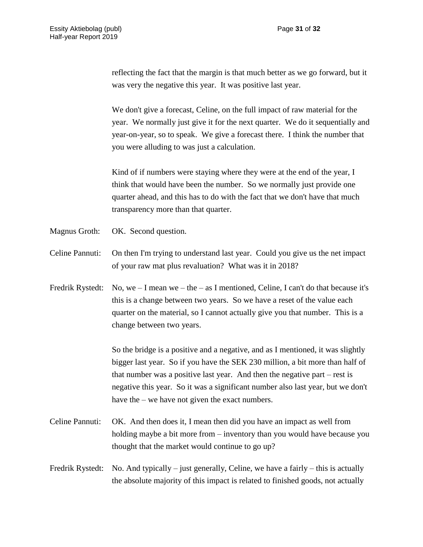reflecting the fact that the margin is that much better as we go forward, but it was very the negative this year. It was positive last year.

We don't give a forecast, Celine, on the full impact of raw material for the year. We normally just give it for the next quarter. We do it sequentially and year-on-year, so to speak. We give a forecast there. I think the number that you were alluding to was just a calculation.

Kind of if numbers were staying where they were at the end of the year, I think that would have been the number. So we normally just provide one quarter ahead, and this has to do with the fact that we don't have that much transparency more than that quarter.

- Magnus Groth: OK. Second question.
- Celine Pannuti: On then I'm trying to understand last year. Could you give us the net impact of your raw mat plus revaluation? What was it in 2018?
- Fredrik Rystedt: No, we  $I$  mean we  $-$  the  $-$  as I mentioned, Celine, I can't do that because it's this is a change between two years. So we have a reset of the value each quarter on the material, so I cannot actually give you that number. This is a change between two years.

So the bridge is a positive and a negative, and as I mentioned, it was slightly bigger last year. So if you have the SEK 230 million, a bit more than half of that number was a positive last year. And then the negative part – rest is negative this year. So it was a significant number also last year, but we don't have the – we have not given the exact numbers.

- Celine Pannuti: OK. And then does it, I mean then did you have an impact as well from holding maybe a bit more from – inventory than you would have because you thought that the market would continue to go up?
- Fredrik Rystedt: No. And typically just generally, Celine, we have a fairly this is actually the absolute majority of this impact is related to finished goods, not actually